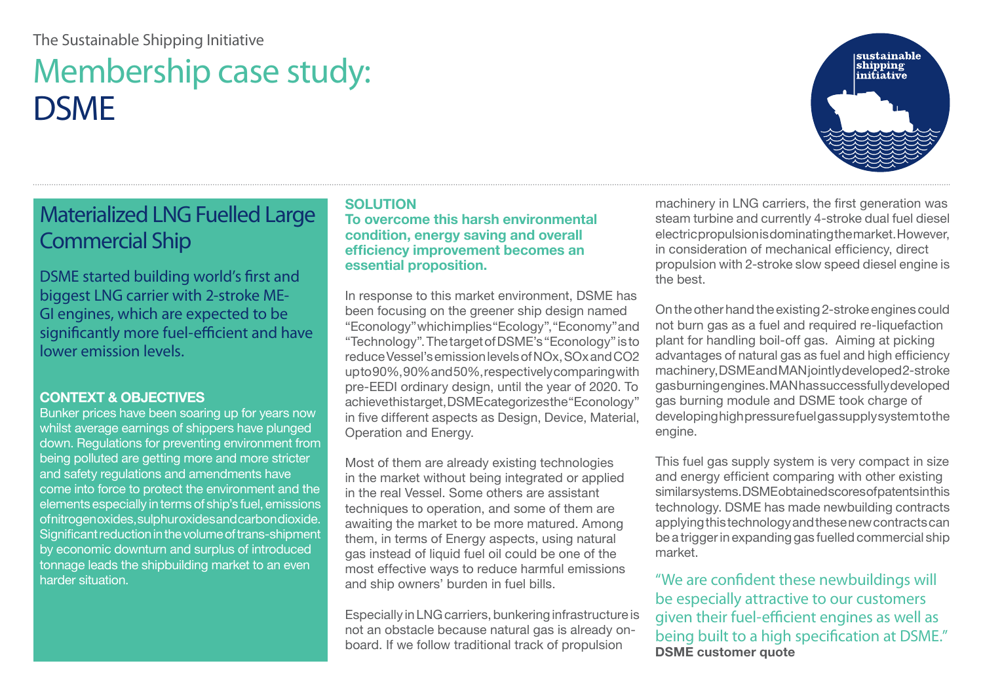#### The Sustainable Shipping Initiative

# Membership case study: **DSMF**

# sustainable<br>shipping<br>initiative

## Materialized LNG Fuelled Large Commercial Ship

DSME started building world's first and biggest LNG carrier with 2-stroke ME-GI engines, which are expected to be significantly more fuel-efficient and have lower emission levels.

#### **CONTEXT & OBJECTIVES**

Bunker prices have been soaring up for years now whilst average earnings of shippers have plunged down. Regulations for preventing environment from being polluted are getting more and more stricter and safety regulations and amendments have come into force to protect the environment and the elements especially in terms of ship's fuel, emissions of nitrogen oxides, sulphur oxides and carbon dioxide. Significant reduction in the volume of trans-shipment by economic downturn and surplus of introduced tonnage leads the shipbuilding market to an even harder situation.

#### **SOLUTION**

**To overcome this harsh environmental condition, energy saving and overall efficiency improvement becomes an essential proposition.**

In response to this market environment, DSME has been focusing on the greener ship design named "Econology" which implies "Ecology", "Economy" and "Technology". The target of DSME's "Econology" is to reduce Vessel's emission levels of NOx, SOx and CO2 up to 90%, 90% and 50%, respectively comparing with pre-EEDI ordinary design, until the year of 2020. To achieve this target, DSME categorizes the "Econology" in five different aspects as Design, Device, Material, Operation and Energy.

Most of them are already existing technologies in the market without being integrated or applied in the real Vessel. Some others are assistant techniques to operation, and some of them are awaiting the market to be more matured. Among them, in terms of Energy aspects, using natural gas instead of liquid fuel oil could be one of the most effective ways to reduce harmful emissions and ship owners' burden in fuel bills.

Especially in LNG carriers, bunkering infrastructure is not an obstacle because natural gas is already onboard. If we follow traditional track of propulsion

machinery in LNG carriers, the first generation was steam turbine and currently 4-stroke dual fuel diesel electric propulsion is dominating the market. However, in consideration of mechanical efficiency, direct propulsion with 2-stroke slow speed diesel engine is the best.

On the other hand the existing 2-stroke engines could not burn gas as a fuel and required re-liquefaction plant for handling boil-off gas. Aiming at picking advantages of natural gas as fuel and high efficiency machinery, DSME and MAN jointly developed 2-stroke gas burning engines. MAN has successfully developed gas burning module and DSME took charge of developing high pressure fuel gas supply system to the engine.

This fuel gas supply system is very compact in size and energy efficient comparing with other existing similar systems. DSME obtained scores of patents in this technology. DSME has made newbuilding contracts applying this technology and these new contracts can be a trigger in expanding gas fuelled commercial ship market.

"We are confident these newbuildings will be especially attractive to our customers given their fuel-efficient engines as well as being built to a high specification at DSME." **DSME customer quote**